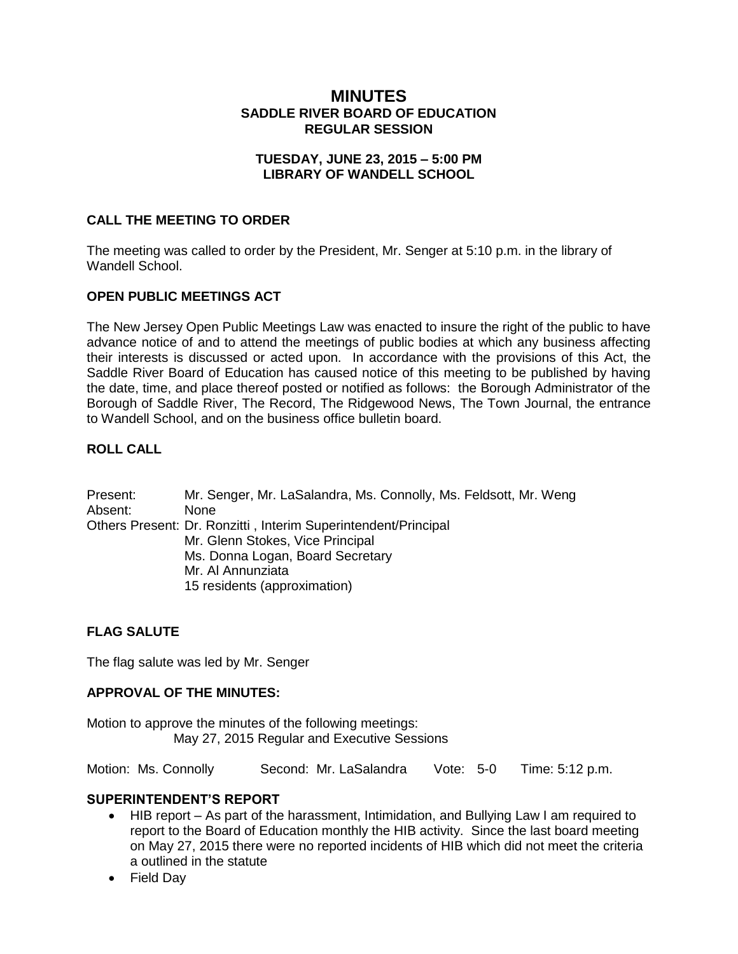# **MINUTES SADDLE RIVER BOARD OF EDUCATION REGULAR SESSION**

### **TUESDAY, JUNE 23, 2015 – 5:00 PM LIBRARY OF WANDELL SCHOOL**

#### **CALL THE MEETING TO ORDER**

The meeting was called to order by the President, Mr. Senger at 5:10 p.m. in the library of Wandell School.

### **OPEN PUBLIC MEETINGS ACT**

The New Jersey Open Public Meetings Law was enacted to insure the right of the public to have advance notice of and to attend the meetings of public bodies at which any business affecting their interests is discussed or acted upon. In accordance with the provisions of this Act, the Saddle River Board of Education has caused notice of this meeting to be published by having the date, time, and place thereof posted or notified as follows: the Borough Administrator of the Borough of Saddle River, The Record, The Ridgewood News, The Town Journal, the entrance to Wandell School, and on the business office bulletin board.

### **ROLL CALL**

Present: Mr. Senger, Mr. LaSalandra, Ms. Connolly, Ms. Feldsott, Mr. Weng Absent: None Others Present: Dr. Ronzitti , Interim Superintendent/Principal Mr. Glenn Stokes, Vice Principal Ms. Donna Logan, Board Secretary Mr. Al Annunziata 15 residents (approximation)

### **FLAG SALUTE**

The flag salute was led by Mr. Senger

#### **APPROVAL OF THE MINUTES:**

Motion to approve the minutes of the following meetings: May 27, 2015 Regular and Executive Sessions

Motion: Ms. Connolly Second: Mr. LaSalandra Vote: 5-0 Time: 5:12 p.m.

#### **SUPERINTENDENT'S REPORT**

- HIB report As part of the harassment, Intimidation, and Bullying Law I am required to report to the Board of Education monthly the HIB activity. Since the last board meeting on May 27, 2015 there were no reported incidents of HIB which did not meet the criteria a outlined in the statute
- Field Dav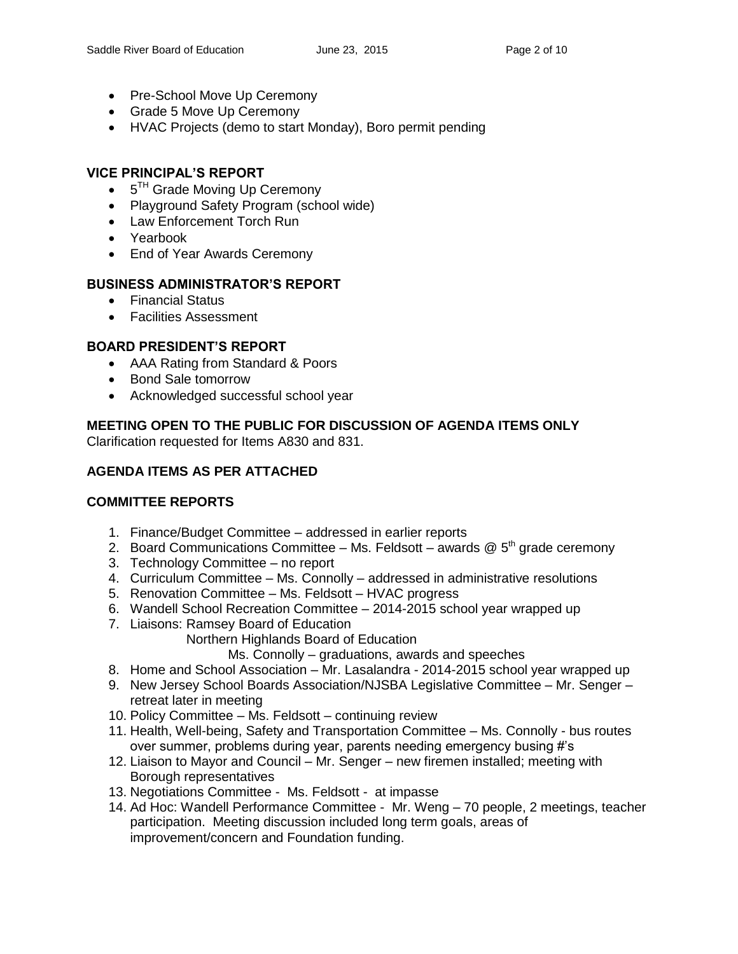- Pre-School Move Up Ceremony
- Grade 5 Move Up Ceremony
- HVAC Projects (demo to start Monday), Boro permit pending

## **VICE PRINCIPAL'S REPORT**

- 5<sup>TH</sup> Grade Moving Up Ceremony
- Playground Safety Program (school wide)
- Law Enforcement Torch Run
- Yearbook
- End of Year Awards Ceremony

# **BUSINESS ADMINISTRATOR'S REPORT**

- Financial Status
- Facilities Assessment

# **BOARD PRESIDENT'S REPORT**

- AAA Rating from Standard & Poors
- Bond Sale tomorrow
- Acknowledged successful school year

# **MEETING OPEN TO THE PUBLIC FOR DISCUSSION OF AGENDA ITEMS ONLY**

Clarification requested for Items A830 and 831.

# **AGENDA ITEMS AS PER ATTACHED**

### **COMMITTEE REPORTS**

- 1. Finance/Budget Committee addressed in earlier reports
- 2. Board Communications Committee Ms. Feldsott awards  $@5<sup>th</sup>$  grade ceremony
- 3. Technology Committee no report
- 4. Curriculum Committee Ms. Connolly addressed in administrative resolutions
- 5. Renovation Committee Ms. Feldsott HVAC progress
- 6. Wandell School Recreation Committee 2014-2015 school year wrapped up
- 7. Liaisons: Ramsey Board of Education
	- Northern Highlands Board of Education
		- Ms. Connolly graduations, awards and speeches
- 8. Home and School Association Mr. Lasalandra 2014-2015 school year wrapped up
- 9. New Jersey School Boards Association/NJSBA Legislative Committee Mr. Senger retreat later in meeting
- 10. Policy Committee Ms. Feldsott continuing review
- 11. Health, Well-being, Safety and Transportation Committee Ms. Connolly bus routes over summer, problems during year, parents needing emergency busing #'s
- 12. Liaison to Mayor and Council Mr. Senger new firemen installed; meeting with Borough representatives
- 13. Negotiations Committee Ms. Feldsott at impasse
- 14. Ad Hoc: Wandell Performance Committee Mr. Weng 70 people, 2 meetings, teacher participation. Meeting discussion included long term goals, areas of improvement/concern and Foundation funding.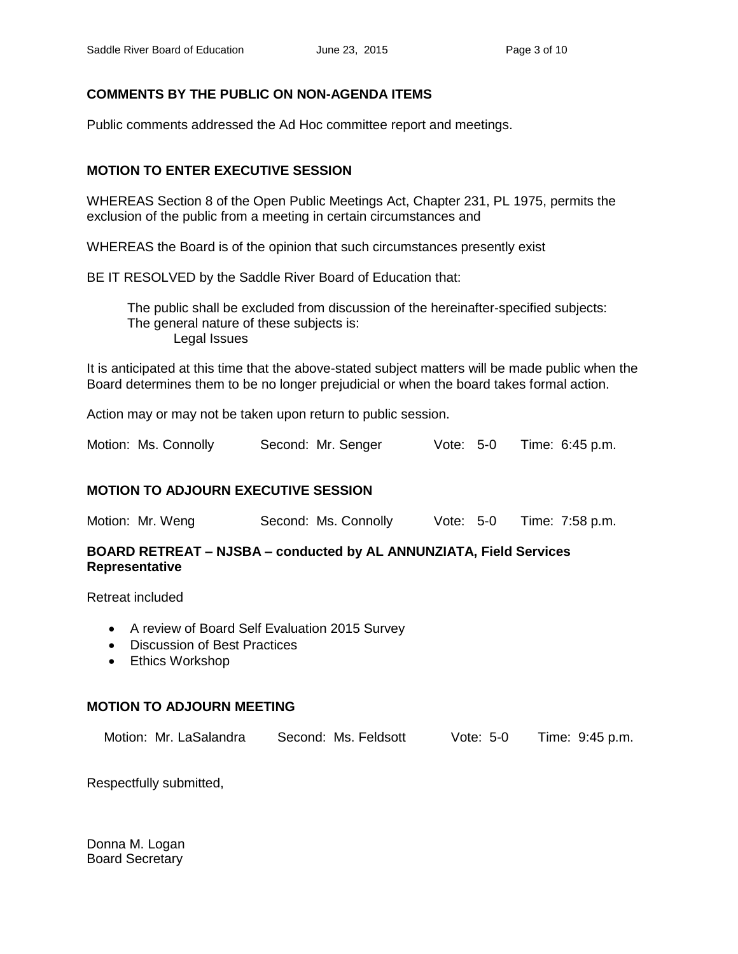### **COMMENTS BY THE PUBLIC ON NON-AGENDA ITEMS**

Public comments addressed the Ad Hoc committee report and meetings.

#### **MOTION TO ENTER EXECUTIVE SESSION**

WHEREAS Section 8 of the Open Public Meetings Act, Chapter 231, PL 1975, permits the exclusion of the public from a meeting in certain circumstances and

WHEREAS the Board is of the opinion that such circumstances presently exist

BE IT RESOLVED by the Saddle River Board of Education that:

 The public shall be excluded from discussion of the hereinafter-specified subjects: The general nature of these subjects is: Legal Issues

It is anticipated at this time that the above-stated subject matters will be made public when the Board determines them to be no longer prejudicial or when the board takes formal action.

Action may or may not be taken upon return to public session.

Motion: Ms. Connolly Second: Mr. Senger Vote: 5-0 Time: 6:45 p.m.

#### **MOTION TO ADJOURN EXECUTIVE SESSION**

Motion: Mr. Weng Second: Ms. Connolly Vote: 5-0 Time: 7:58 p.m.

#### **BOARD RETREAT – NJSBA – conducted by AL ANNUNZIATA, Field Services Representative**

Retreat included

- A review of Board Self Evaluation 2015 Survey
- Discussion of Best Practices
- Ethics Workshop

#### **MOTION TO ADJOURN MEETING**

Motion: Mr. LaSalandra Second: Ms. Feldsott Vote: 5-0 Time: 9:45 p.m.

Respectfully submitted,

Donna M. Logan Board Secretary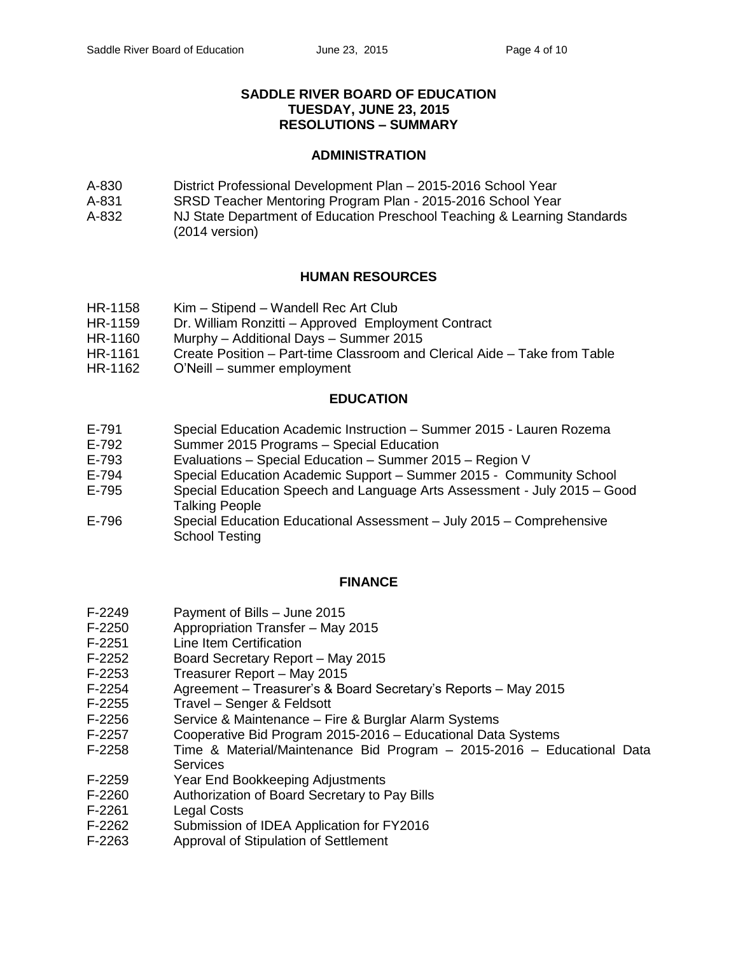### **SADDLE RIVER BOARD OF EDUCATION TUESDAY, JUNE 23, 2015 RESOLUTIONS – SUMMARY**

#### **ADMINISTRATION**

- A-830 District Professional Development Plan 2015-2016 School Year
- A-831 SRSD Teacher Mentoring Program Plan 2015-2016 School Year
- A-832 NJ State Department of Education Preschool Teaching & Learning Standards (2014 version)

### **HUMAN RESOURCES**

- HR-1158 Kim Stipend Wandell Rec Art Club
- HR-1159 Dr. William Ronzitti Approved Employment Contract
- HR-1160 Murphy Additional Days Summer 2015
- HR-1161 Create Position Part-time Classroom and Clerical Aide Take from Table
- HR-1162 O'Neill summer employment

### **EDUCATION**

- E-791 Special Education Academic Instruction Summer 2015 Lauren Rozema
- E-792 Summer 2015 Programs Special Education
- E-793 Evaluations Special Education Summer 2015 Region V
- E-794 Special Education Academic Support Summer 2015 Community School
- E-795 Special Education Speech and Language Arts Assessment July 2015 Good Talking People
- E-796 Special Education Educational Assessment July 2015 Comprehensive School Testing

### **FINANCE**

- F-2249 Payment of Bills June 2015
- F-2250 Appropriation Transfer May 2015
- F-2251 Line Item Certification
- F-2252 Board Secretary Report May 2015
- F-2253 Treasurer Report May 2015
- F-2254 Agreement Treasurer's & Board Secretary's Reports May 2015
- F-2255 Travel Senger & Feldsott
- F-2256 Service & Maintenance Fire & Burglar Alarm Systems
- F-2257 Cooperative Bid Program 2015-2016 Educational Data Systems
- F-2258 Time & Material/Maintenance Bid Program 2015-2016 Educational Data **Services**
- F-2259 Year End Bookkeeping Adjustments
- F-2260 Authorization of Board Secretary to Pay Bills
- F-2261 Legal Costs
- F-2262 Submission of IDEA Application for FY2016
- F-2263 Approval of Stipulation of Settlement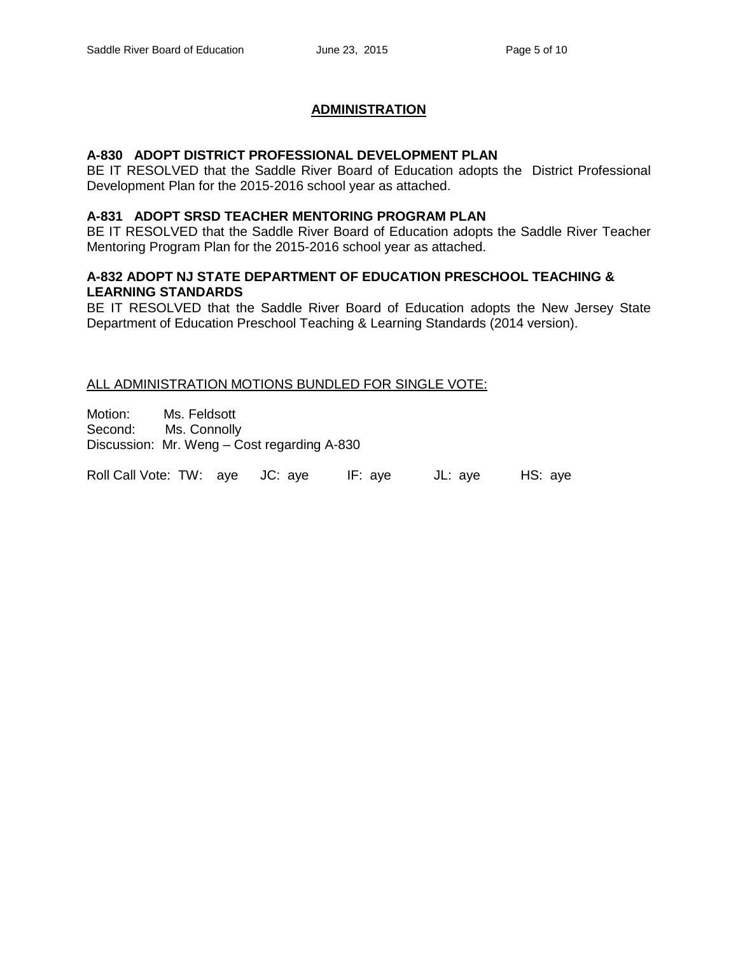# **ADMINISTRATION**

### **A-830 ADOPT DISTRICT PROFESSIONAL DEVELOPMENT PLAN**

BE IT RESOLVED that the Saddle River Board of Education adopts the District Professional Development Plan for the 2015-2016 school year as attached.

#### **A-831 ADOPT SRSD TEACHER MENTORING PROGRAM PLAN**

BE IT RESOLVED that the Saddle River Board of Education adopts the Saddle River Teacher Mentoring Program Plan for the 2015-2016 school year as attached.

#### **A-832 ADOPT NJ STATE DEPARTMENT OF EDUCATION PRESCHOOL TEACHING & LEARNING STANDARDS**

BE IT RESOLVED that the Saddle River Board of Education adopts the New Jersey State Department of Education Preschool Teaching & Learning Standards (2014 version).

#### ALL ADMINISTRATION MOTIONS BUNDLED FOR SINGLE VOTE:

Motion: Ms. Feldsott Second: Ms. Connolly Discussion: Mr. Weng – Cost regarding A-830

Roll Call Vote: TW: aye JC: aye IF: aye JL: aye HS: aye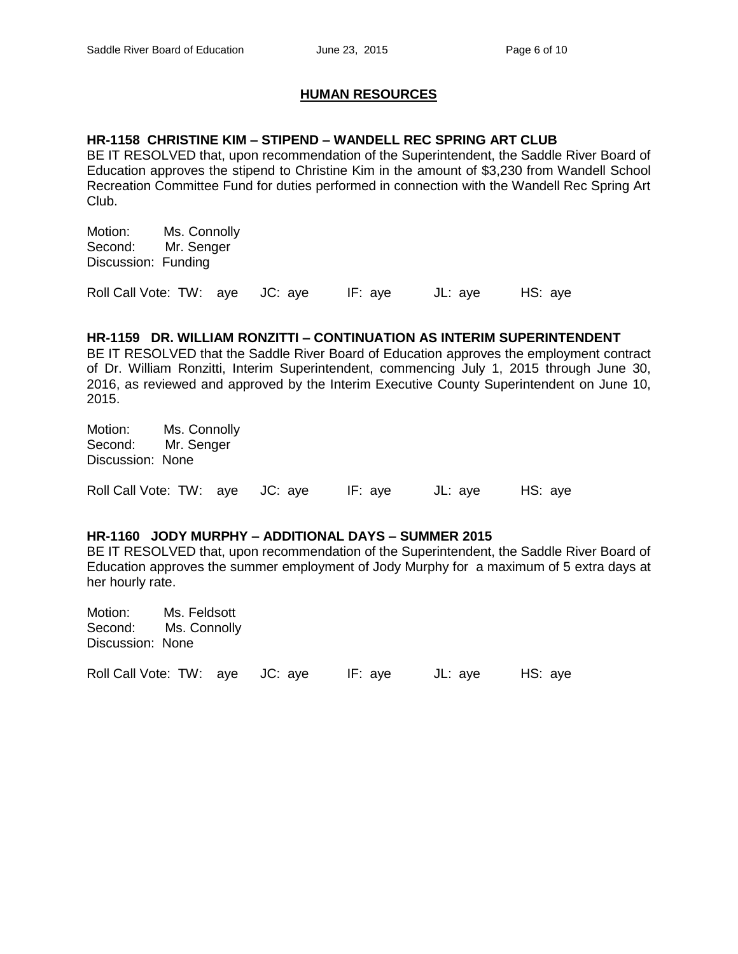### **HUMAN RESOURCES**

#### **HR-1158 CHRISTINE KIM – STIPEND – WANDELL REC SPRING ART CLUB**

BE IT RESOLVED that, upon recommendation of the Superintendent, the Saddle River Board of Education approves the stipend to Christine Kim in the amount of \$3,230 from Wandell School Recreation Committee Fund for duties performed in connection with the Wandell Rec Spring Art Club.

Motion: Ms. Connolly Second: Mr. Senger Discussion: Funding

Roll Call Vote: TW: aye JC: aye IF: aye JL: aye HS: aye

#### **HR-1159 DR. WILLIAM RONZITTI – CONTINUATION AS INTERIM SUPERINTENDENT**

BE IT RESOLVED that the Saddle River Board of Education approves the employment contract of Dr. William Ronzitti, Interim Superintendent, commencing July 1, 2015 through June 30, 2016, as reviewed and approved by the Interim Executive County Superintendent on June 10, 2015.

Motion: Ms. Connolly Second: Mr. Senger Discussion: None

Roll Call Vote: TW: aye JC: aye IF: aye JL: aye HS: aye

#### **HR-1160 JODY MURPHY – ADDITIONAL DAYS – SUMMER 2015**

BE IT RESOLVED that, upon recommendation of the Superintendent, the Saddle River Board of Education approves the summer employment of Jody Murphy for a maximum of 5 extra days at her hourly rate.

Motion: Ms. Feldsott Second: Ms. Connolly Discussion: None Roll Call Vote: TW: aye JC: aye IF: aye JL: aye HS: aye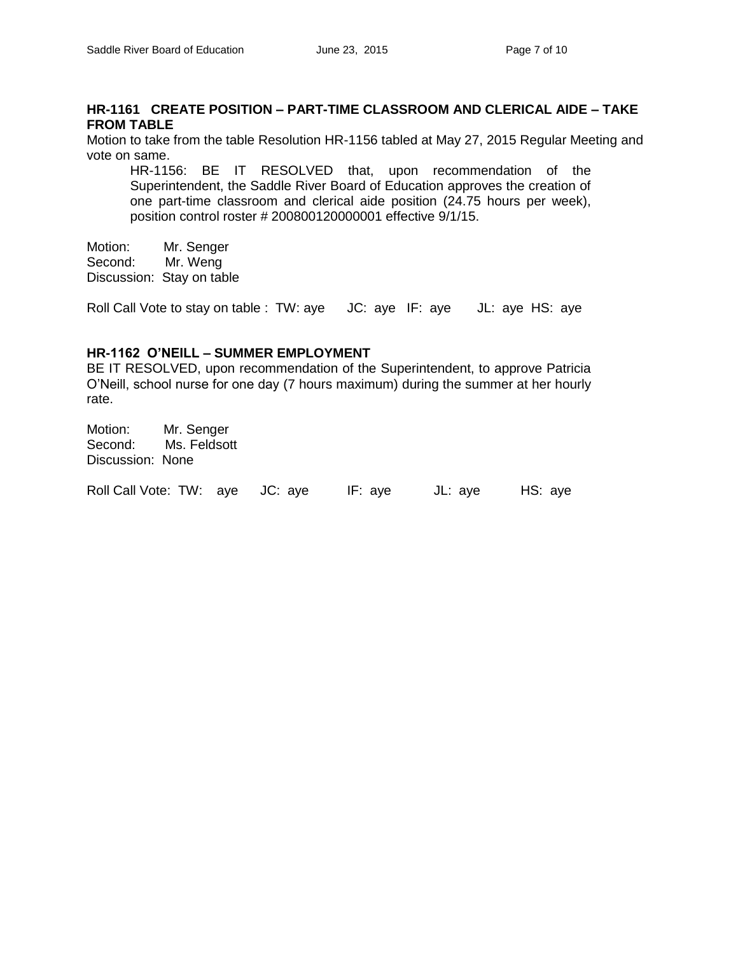#### **HR-1161 CREATE POSITION – PART-TIME CLASSROOM AND CLERICAL AIDE – TAKE FROM TABLE**

Motion to take from the table Resolution HR-1156 tabled at May 27, 2015 Regular Meeting and vote on same.

HR-1156: BE IT RESOLVED that, upon recommendation of the Superintendent, the Saddle River Board of Education approves the creation of one part-time classroom and clerical aide position (24.75 hours per week), position control roster # 200800120000001 effective 9/1/15.

Motion: Mr. Senger Second: Mr. Weng Discussion: Stay on table

Roll Call Vote to stay on table : TW: aye JC: aye IF: aye JL: aye HS: aye

#### **HR-1162 O'NEILL – SUMMER EMPLOYMENT**

BE IT RESOLVED, upon recommendation of the Superintendent, to approve Patricia O'Neill, school nurse for one day (7 hours maximum) during the summer at her hourly rate.

Motion: Mr. Senger Second: Ms. Feldsott Discussion: None

Roll Call Vote: TW: aye JC: aye IF: aye JL: aye HS: aye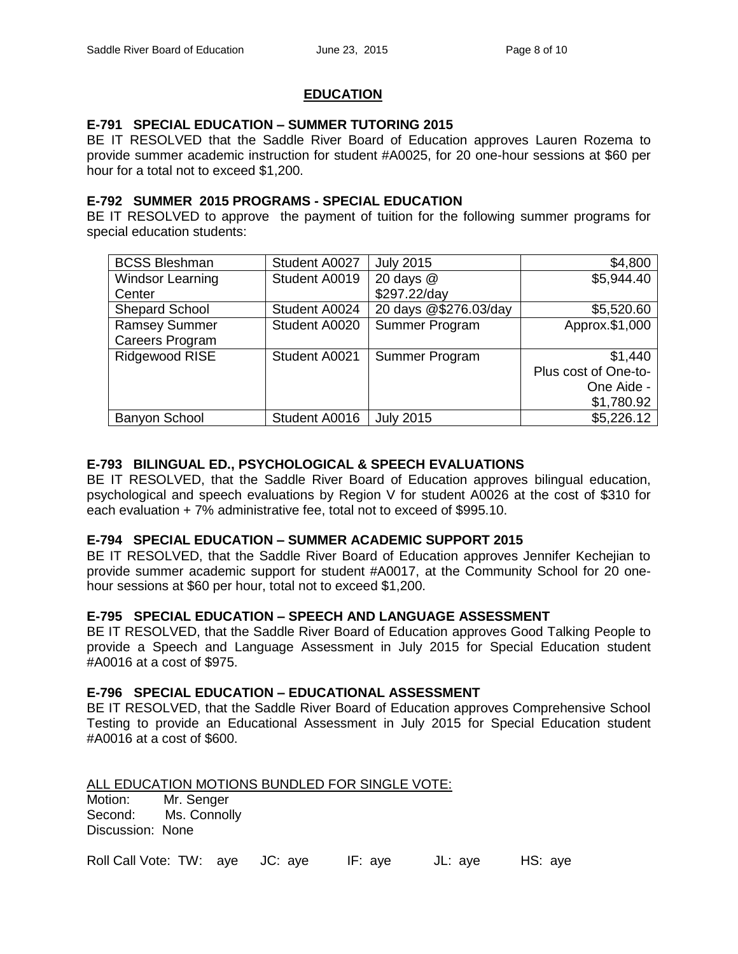#### **EDUCATION**

#### **E-791 SPECIAL EDUCATION – SUMMER TUTORING 2015**

BE IT RESOLVED that the Saddle River Board of Education approves Lauren Rozema to provide summer academic instruction for student #A0025, for 20 one-hour sessions at \$60 per hour for a total not to exceed \$1,200.

#### **E-792 SUMMER 2015 PROGRAMS - SPECIAL EDUCATION**

BE IT RESOLVED to approve the payment of tuition for the following summer programs for special education students:

| <b>BCSS Bleshman</b>    | Student A0027 | <b>July 2015</b>      | \$4,800              |
|-------------------------|---------------|-----------------------|----------------------|
| <b>Windsor Learning</b> | Student A0019 | 20 days $@$           | \$5,944.40           |
| Center                  |               | \$297.22/day          |                      |
| <b>Shepard School</b>   | Student A0024 | 20 days @\$276.03/day | \$5,520.60           |
| <b>Ramsey Summer</b>    | Student A0020 | Summer Program        | Approx.\$1,000       |
| Careers Program         |               |                       |                      |
| Ridgewood RISE          | Student A0021 | Summer Program        | \$1,440              |
|                         |               |                       | Plus cost of One-to- |
|                         |               |                       | One Aide -           |
|                         |               |                       | \$1,780.92           |
| Banyon School           | Student A0016 | <b>July 2015</b>      | \$5,226.12           |

#### **E-793 BILINGUAL ED., PSYCHOLOGICAL & SPEECH EVALUATIONS**

BE IT RESOLVED, that the Saddle River Board of Education approves bilingual education, psychological and speech evaluations by Region V for student A0026 at the cost of \$310 for each evaluation + 7% administrative fee, total not to exceed of \$995.10.

#### **E-794 SPECIAL EDUCATION – SUMMER ACADEMIC SUPPORT 2015**

BE IT RESOLVED, that the Saddle River Board of Education approves Jennifer Kechejian to provide summer academic support for student #A0017, at the Community School for 20 onehour sessions at \$60 per hour, total not to exceed \$1,200.

#### **E-795 SPECIAL EDUCATION – SPEECH AND LANGUAGE ASSESSMENT**

BE IT RESOLVED, that the Saddle River Board of Education approves Good Talking People to provide a Speech and Language Assessment in July 2015 for Special Education student #A0016 at a cost of \$975.

#### **E-796 SPECIAL EDUCATION – EDUCATIONAL ASSESSMENT**

BE IT RESOLVED, that the Saddle River Board of Education approves Comprehensive School Testing to provide an Educational Assessment in July 2015 for Special Education student #A0016 at a cost of \$600.

#### ALL EDUCATION MOTIONS BUNDLED FOR SINGLE VOTE:

Motion: Mr. Senger Second: Ms. Connolly Discussion: None

| Roll Call Vote: TW: aye JC: aye |  |  | IF: aye | JL: aye | HS: aye |
|---------------------------------|--|--|---------|---------|---------|
|---------------------------------|--|--|---------|---------|---------|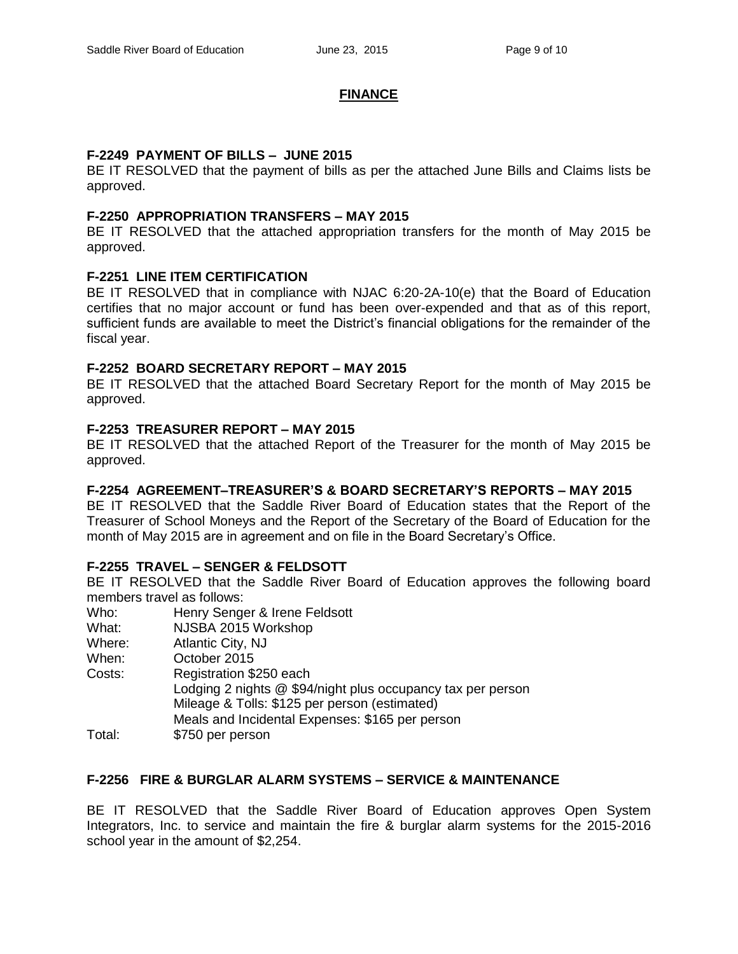#### **FINANCE**

#### **F-2249 PAYMENT OF BILLS – JUNE 2015**

BE IT RESOLVED that the payment of bills as per the attached June Bills and Claims lists be approved.

#### **F-2250 APPROPRIATION TRANSFERS – MAY 2015**

BE IT RESOLVED that the attached appropriation transfers for the month of May 2015 be approved.

#### **F-2251 LINE ITEM CERTIFICATION**

BE IT RESOLVED that in compliance with NJAC 6:20-2A-10(e) that the Board of Education certifies that no major account or fund has been over-expended and that as of this report, sufficient funds are available to meet the District's financial obligations for the remainder of the fiscal year.

#### **F-2252 BOARD SECRETARY REPORT – MAY 2015**

BE IT RESOLVED that the attached Board Secretary Report for the month of May 2015 be approved.

#### **F-2253 TREASURER REPORT – MAY 2015**

BE IT RESOLVED that the attached Report of the Treasurer for the month of May 2015 be approved.

### **F-2254 AGREEMENT–TREASURER'S & BOARD SECRETARY'S REPORTS – MAY 2015**

BE IT RESOLVED that the Saddle River Board of Education states that the Report of the Treasurer of School Moneys and the Report of the Secretary of the Board of Education for the month of May 2015 are in agreement and on file in the Board Secretary's Office.

### **F-2255 TRAVEL – SENGER & FELDSOTT**

BE IT RESOLVED that the Saddle River Board of Education approves the following board members travel as follows:

- Who: Henry Senger & Irene Feldsott
- What: NJSBA 2015 Workshop
- Where: Atlantic City, NJ
- When: October 2015
- Costs: Registration \$250 each Lodging 2 nights @ \$94/night plus occupancy tax per person Mileage & Tolls: \$125 per person (estimated) Meals and Incidental Expenses: \$165 per person Total: \$750 per person

#### **F-2256 FIRE & BURGLAR ALARM SYSTEMS – SERVICE & MAINTENANCE**

BE IT RESOLVED that the Saddle River Board of Education approves Open System Integrators, Inc. to service and maintain the fire & burglar alarm systems for the 2015-2016 school year in the amount of \$2,254.